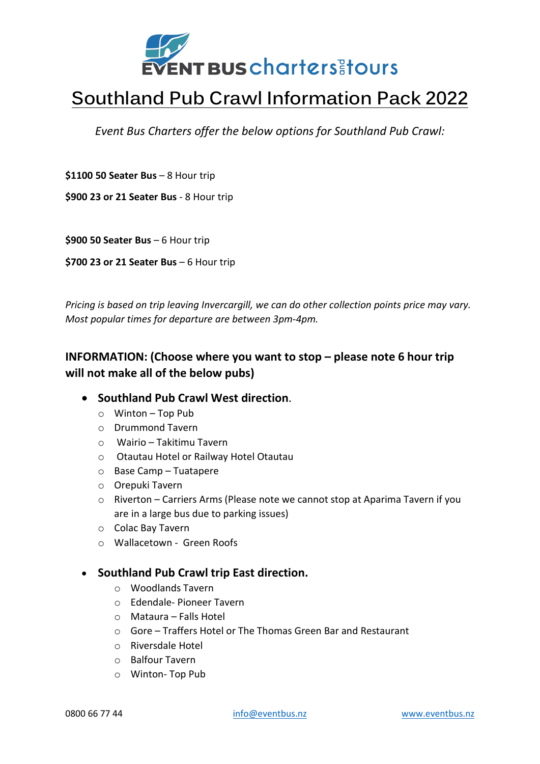

## **Southland Pub Crawl Information Pack 2022**

*Event Bus Charters offer the below options for Southland Pub Crawl:*

**\$1100 50 Seater Bus** – 8 Hour trip

**\$900 23 or 21 Seater Bus** - 8 Hour trip

**\$900 50 Seater Bus** – 6 Hour trip

**\$700 23 or 21 Seater Bus** – 6 Hour trip

*Pricing is based on trip leaving Invercargill, we can do other collection points price may vary. Most popular times for departure are between 3pm-4pm.*

## **INFORMATION: (Choose where you want to stop – please note 6 hour trip will not make all of the below pubs)**

- **Southland Pub Crawl West direction**.
	- o Winton Top Pub
	- o Drummond Tavern
	- o Wairio Takitimu Tavern
	- o Otautau Hotel or Railway Hotel Otautau
	- o Base Camp Tuatapere
	- o Orepuki Tavern
	- $\circ$  Riverton Carriers Arms (Please note we cannot stop at Aparima Tavern if you are in a large bus due to parking issues)
	- o Colac Bay Tavern
	- o Wallacetown Green Roofs

## • **Southland Pub Crawl trip East direction.**

- o Woodlands Tavern
- o Edendale- Pioneer Tavern
- o Mataura Falls Hotel
- o Gore Traffers Hotel or The Thomas Green Bar and Restaurant
- o Riversdale Hotel
- o Balfour Tavern
- o Winton- Top Pub